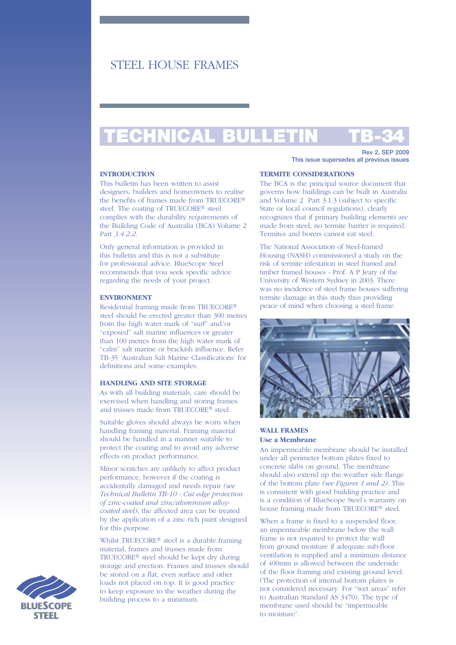# STEEL HOUSE FRAMES

# TECHNICAL BULLETIN TB-34

### **INTRODUCTION**

This bulletin has been written to assist designers, builders and homeowners to realise the benefits of frames made from TRUECORE® steel. The coating of TRUECORE® steel complies with the durability requirements of the Building Code of Australia (BCA) Volume 2 Part *3.4.2.2*.

Only general information is provided in this bulletin and this is not a substitute for professional advice. BlueScope Steel recommends that you seek specific advice regarding the needs of your project.

# **ENVIRONMENT**

Residential framing made from TRUECORE® steel should be erected greater than 300 metres from the high water mark of "surf" and/or "exposed" salt marine influences or greater than 100 metres from the high water mark of "calm" salt marine or brackish influence. Refer TB-35 'Australian Salt Marine Classifications' for definitions and some examples.

#### **HANDLING AND SITE STORAGE**

As with all building materials, care should be exercised when handling and storing frames and trusses made from TRUECORE® steel.

Suitable gloves should always be worn when handling framing material. Framing material should be handled in a manner suitable to protect the coating and to avoid any adverse effects on product performance.

Minor scratches are unlikely to affect product performance, however if the coating is accidentally damaged and needs repair *(see Technical Bulletin TB-10 - Cut edge protection of zinc-coated and zinc/aluminium alloycoated steel)*, the affected area can be treated by the application of a zinc rich paint designed for this purpose.

Whilst TRUECORE® steel is a durable framing material, frames and trusses made from TRUECORE® steel should be kept dry during storage and erection. Frames and trusses should be stored on a flat, even surface and other loads not placed on top. It is good practice to keep exposure to the weather during the building process to a minimum.

Rev 2, SEP 2009 This issue supersedes all previous issues

#### **TERMITE CONSIDERATIONS**

The BCA is the principal source document that governs how buildings can be built in Australia and Volume 2 Part 3.1.3 (subject to specific State or local council regulations), clearly recognizes that if primary building elements are made from steel, no termite barrier is required. Termites and borers cannot eat steel.

The National Association of Steel-framed Housing (NASH) commissioned a study on the risk of termite infestation in steel framed and timber framed houses - Prof. A P Jeary of the University of Western Sydney in 2003. There was no incidence of steel frame houses suffering termite damage in this study thus providing peace of mind when choosing a steel frame.



# **WALL FRAMES Use a Membrane**

An impermeable membrane should be installed under all perimeter bottom plates fixed to concrete slabs on ground. The membrane should also extend up the weather side flange of the bottom plate *(see Figures 1 and 2)*. This is consistent with good building practice and is a condition of BlueScope Steel's warranty on house framing made from TRUECORE® steel.

When a frame is fixed to a suspended floor, an impermeable membrane below the wall frame is not required to protect the wall from ground moisture if adequate sub-floor ventilation is supplied and a minimum distance of 400mm is allowed between the underside of the floor framing and existing ground level. (The protection of internal bottom plates is not considered necessary. For "wet areas" refer to Australian Standard AS 3470). The type of membrane used should be "impermeable to moisture".

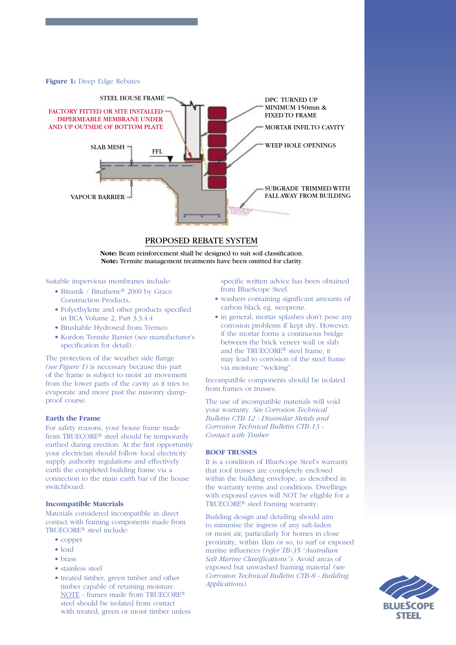**Figure 1:** Deep Edge Rebates



#### PROPOSED REBATE SYSTEM

**Note:** Beam reinforcement shall be designed to suit soil classification. **Note:** Termite management treatments have been omitted for clarity.

Suitable impervious membranes include:

- Bitustik / Bituthene® 2000 by Grace Construction Products,
- Polyethylene and other products specified in BCA Volume 2, Part 3.3.4.4
- Brushable Hydroseal from Tremco
- Kordon Termite Barrier (see manufacturer's specification for detail).

The protection of the weather side flange *(see Figure 1)* is necessary because this part of the frame is subject to moist air movement from the lower parts of the cavity as it tries to evaporate and move past the masonry dampproof course.

# **Earth the Frame**

For safety reasons, your house frame made from TRUECORE® steel should be temporarily earthed during erection. At the first opportunity your electrician should follow local electricity supply authority regulations and effectively earth the completed building frame via a connection to the main earth bar of the house switchboard.

#### **Incompatible Materials**

Materials considered incompatible in direct contact with framing components made from TRUECORE® steel include:

- copper
- lead
- brass
- stainless steel
- treated timber, green timber and other timber capable of retaining moisture. NOTE - frames made from TRUECORE® steel should be isolated from contact with treated, green or moist timber unless

 specific written advice has been obtained from BlueScope Steel.

- washers containing significant amounts of carbon black eg. neoprene.
- in general, mortar splashes don't pose any corrosion problems if kept dry. However, if the mortar forms a continuous bridge between the brick veneer wall or slab and the TRUECORE® steel frame, it may lead to corrosion of the steel frame via moisture "wicking".

Incompatible components should be isolated from frames or trusses.

The use of incompatible materials will void your warranty. *See Corrosion Technical Bulletin CTB-12 - Dissimilar Metals and Corrosion Technical Bulletin CTB-13 - Contact with Timber*

#### **ROOF TRUSSES**

It is a condition of BlueScope Steel's warranty that roof trusses are completely enclosed within the building envelope, as described in the warranty terms and conditions. Dwellings with exposed eaves will NOT be eligible for a TRUECORE® steel framing warranty.

Building design and detailing should aim to minimise the ingress of any salt-laden or moist air, particularly for homes in close proximity, within 1km or so, to surf or exposed marine influences *(refer TB-35 "Australian Salt Marine Classifications")*. Avoid areas of exposed but unwashed framing material *(see Corrosion Technical Bulletin CTB-8 - Building Applications).* 

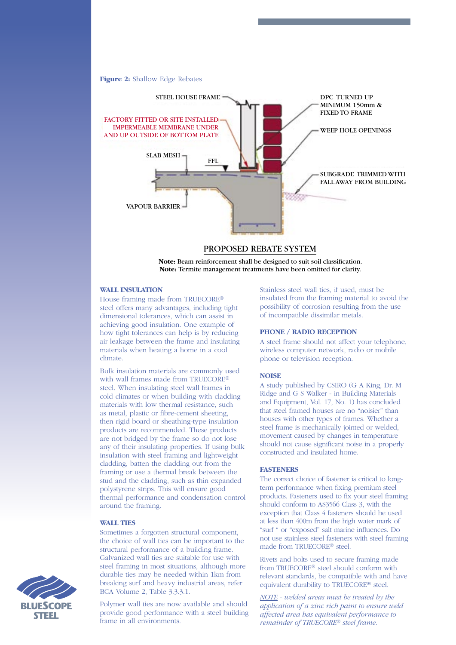**Figure 2:** Shallow Edge Rebates



## PROPOSED REBATE SYSTEM

**Note:** Beam reinforcement shall be designed to suit soil classification. **Note:** Termite management treatments have been omitted for clarity.

#### **WALL INSULATION**

House framing made from TRUECORE® steel offers many advantages, including tight dimensional tolerances, which can assist in achieving good insulation. One example of how tight tolerances can help is by reducing air leakage between the frame and insulating materials when heating a home in a cool climate.

Bulk insulation materials are commonly used with wall frames made from TRUECORE® steel. When insulating steel wall frames in cold climates or when building with cladding materials with low thermal resistance, such as metal, plastic or fibre-cement sheeting, then rigid board or sheathing-type insulation products are recommended. These products are not bridged by the frame so do not lose any of their insulating properties. If using bulk insulation with steel framing and lightweight cladding, batten the cladding out from the framing or use a thermal break between the stud and the cladding, such as thin expanded polystyrene strips. This will ensure good thermal performance and condensation control around the framing.

# **WALL TIES**

Sometimes a forgotten structural component, the choice of wall ties can be important to the structural performance of a building frame. Galvanized wall ties are suitable for use with steel framing in most situations, although more durable ties may be needed within 1km from breaking surf and heavy industrial areas, refer BCA Volume 2, Table 3.3.3.1.

STEEL

Polymer wall ties are now available and should provide good performance with a steel building frame in all environments.

Stainless steel wall ties, if used, must be insulated from the framing material to avoid the possibility of corrosion resulting from the use of incompatible dissimilar metals.

## **PHONE / RADIO RECEPTION**

A steel frame should not affect your telephone, wireless computer network, radio or mobile phone or television reception.

# **NOISE**

A study published by CSIRO (G A King, Dr. M Ridge and G S Walker - in Building Materials and Equipment, Vol. 17, No. 1) has concluded that steel framed houses are no "noisier" than houses with other types of frames. Whether a steel frame is mechanically jointed or welded, movement caused by changes in temperature should not cause significant noise in a properly constructed and insulated home.

#### **FASTENERS**

The correct choice of fastener is critical to longterm performance when fixing premium steel products. Fasteners used to fix your steel framing should conform to AS3566 Class 3, with the exception that Class 4 fasteners should be used at less than 400m from the high water mark of "surf " or "exposed" salt marine influences. Do not use stainless steel fasteners with steel framing made from TRUECORE® steel.

Rivets and bolts used to secure framing made from TRUECORE® steel should conform with relevant standards, be compatible with and have equivalent durability to TRUECORE® steel.

*NOTE - welded areas must be treated by the application of a zinc rich paint to ensure weld affected area has equivalent performance to remainder of TRUECORE*® *steel frame.*